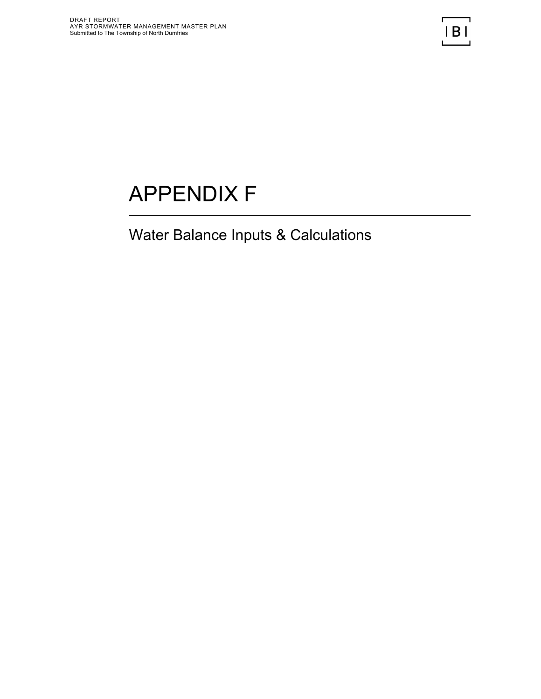## APPENDIX F

## Water Balance Inputs & Calculations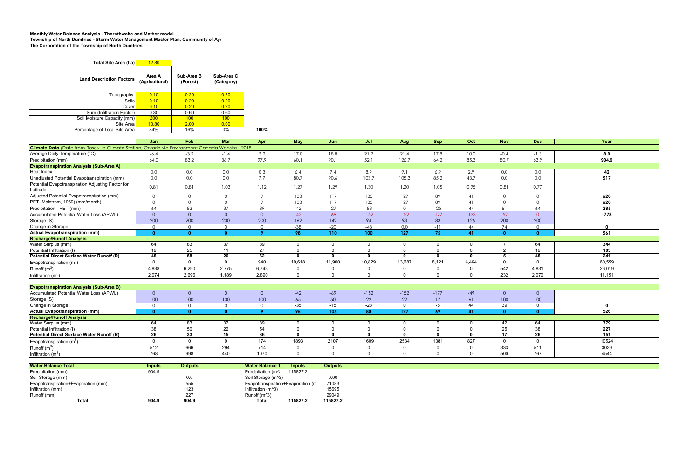## **Monthly Water Balance Analysis - Thornthwaite and Mather model Township of North Dumfries - Storm Water Management Master Plan, Community of Ayr The Corporation of the Township of North Dumfries**

| Total Site Area (ha)            | 12.80                    |                        |                          |      |
|---------------------------------|--------------------------|------------------------|--------------------------|------|
| <b>Land Description Factors</b> | Area A<br>(Agricultural) | Sub-Area B<br>(Forest) | Sub-Area C<br>(Category) |      |
| Topography                      | 0.10                     | 0.20                   | 0.20                     |      |
| Soils                           | 0.10                     | 0.20                   | 0.20                     |      |
| Cover                           | 0.10                     | 0.20                   | 0.20                     |      |
| Sum (Infiltration Factor)       | 0.30                     | 0.60                   | 0.60                     |      |
| Soil Moisture Capacity (mm)     | 200                      | 100                    | 100                      |      |
| Site Areal                      | 10.80                    | 2.00                   | 0.00                     |      |
| Percentage of Total Site Area   | 84%                      | 16%                    | 0%                       | 100% |

|                                                                                                  | Jan      | Feb            | Mar            | Apr            | <b>May</b> | Jun          | Jul          | Aug              | <b>Sep</b>   | Oct          | <b>Nov</b>     | <b>Dec</b>     | Year             |
|--------------------------------------------------------------------------------------------------|----------|----------------|----------------|----------------|------------|--------------|--------------|------------------|--------------|--------------|----------------|----------------|------------------|
| Climate Data (Data from Roseville Climate Station, Ontario via Environment Canada Website - 2018 |          |                |                |                |            |              |              |                  |              |              |                |                |                  |
| Average Daily Temperature (°C)                                                                   | $-6.4$   | $-3.2$         | $-1.4$         | 2.2            | 17.0       | 18.8         | 21.2         | 21.4             | 17.8         | 10.0         | $-0.4$         | $-1.3$         | 8.0              |
| Precipitation (mm)                                                                               | 64.0     | 83.2           | 36.7           | 97.9           | 60.1       | 90.1         | 52.1         | 126.7            | 64.2         | 85.3         | 80.7           | 63.9           | 904.9            |
| <b>Evapotranspiration Analysis (Sub-Area A)</b>                                                  |          |                |                |                |            |              |              |                  |              |              |                |                |                  |
| <b>Heat Index</b>                                                                                | 0.0      | 0.0            | 0.0            | 0.3            | 6.4        | 7.4          | 8.9          | 9.1              | 6.9          | 2.9          | 0.0            | 0.0            | 42               |
| Unadjusted Potential Evapotranspiration (mm)                                                     | 0.0      | 0.0            | 0.0            | 7.7            | 80.7       | 90.6         | 103.7        | 105.3            | 85.2         | 43.7         | 0.0            | 0.0            | 517              |
| Potential Evapotranspiration Adjusting Factor for                                                | 0.81     | 0.81           | 1.03           | 1.12           | 1.27       | 1.29         | 1.30         | 1.20             | 1.05         | 0.95         | 0.81           | 0.77           |                  |
| Latitude                                                                                         |          |                |                |                |            |              |              |                  |              |              |                |                |                  |
| Adjusted Potential Evapotranspiration (mm)                                                       | $\Omega$ | $\Omega$       | $\Omega$       | $\mathsf{Q}$   | 103        | 117          | 135          | 127              | 89           | 41           | $\mathbf 0$    | $\mathbf 0$    | 620              |
| PET (Malstrom, 1969) (mm/month)                                                                  |          |                |                | $\mathsf{Q}$   | 103        | 117          | 135          | 127              | 89           | 41           | $\mathbf 0$    | $\mathbf{0}$   | 620              |
| Precipitation - PET (mm)                                                                         | 64       | 83             | 37             | 89             | $-42$      | $-27$        | $-83$        | $\Omega$         | $-25$        | 44           | 81             | 64             | 285              |
| Accumulated Potential Water Loss (APWL)                                                          | $\Omega$ | $\overline{0}$ | $\overline{0}$ | $\overline{0}$ | $-42$      | $-69$        | $-152$       | $-152$           | $-177$       | $-133$       | $-52$          | $\overline{O}$ | $-778$           |
| Storage (S)                                                                                      | 200      | 200            | 200            | 200            | 162        | 142          | 94           | 93               | 83           | 126          | 200            | 200            |                  |
| Change in Storage                                                                                | $\Omega$ | $\circ$        | $\overline{0}$ | $\overline{0}$ | $-38$      | $-20$        | $-48$        | 0.0              | $-11$        | 44           | 74             | $\overline{O}$ | 0                |
| <b>Actual Evapotranspiration (mm)</b>                                                            | $\Omega$ | $\mathbf{0}$   | $\mathbf{0}$   | -9             | 98         | 110          | 100          | $\overline{127}$ | 75           | 41           | $\mathbf{0}$   | $\overline{0}$ | 561              |
| <b>Recharge/Runoff Analysis</b>                                                                  |          |                |                |                |            |              |              |                  |              |              |                |                |                  |
| Water Surplus (mm)                                                                               | 64       | 83             | 37             | 89             |            |              |              |                  | 0            | 0            |                | 64             | 344              |
| Potential Infiltration (I)                                                                       | 19       | 25             | 11             | 27             |            | $\Omega$     | $\Omega$     |                  | $\Omega$     | $\Omega$     | $\overline{2}$ | 19             | 103              |
| Potential Direct Surface Water Runoff (R)                                                        | 45       | 58             | 26             | 62             | $\sqrt{ }$ | $\mathbf{0}$ | $\mathbf{0}$ | $\mathbf{0}$     | $\mathbf{0}$ | $\mathbf{0}$ | 5              | 45             | $\overline{241}$ |
| Evapotranspiration $(m^3)$                                                                       | $\Omega$ | $\Omega$       | $\Omega$       | 940            | 10,618     | 11,900       | 10,829       | 13,687           | 8,121        | 4,464        | $\overline{0}$ | $\overline{0}$ | 60,559           |
| Runoff $(m^3)$                                                                                   | 4,838    | 6,290          | 2,775          | 6,743          |            |              | $\Omega$     |                  | $\Omega$     | $\Omega$     | 542            | 4,831          | 26,019           |
| Infiltration $(m^3)$                                                                             | 2,074    | 2,696          | 1,189          | 2,890          |            | $\Omega$     | $\Omega$     |                  | $\mathbf{0}$ | $\Omega$     | 232            | 2,070          | 11,151           |
|                                                                                                  |          |                |                |                |            |              |              |                  |              |              |                |                |                  |
| <b>Evapotranspiration Analysis (Sub-Area B)</b>                                                  |          |                |                |                |            |              |              |                  |              |              |                |                |                  |
| Accumulated Potential Water Loss (APWL)                                                          | $\Omega$ | $\overline{0}$ | $\circ$        | $\overline{0}$ | $-42$      | $-69$        | $-152$       | $-152$           | $-177$       | $-49$        | $\overline{0}$ | $\circ$        |                  |
| Storage (S)                                                                                      | 100      | 100            | 100            | 100            | 65         | 50           | 22           | 22               | 17           | 61           | 100            | 100            |                  |
| Change in Storage                                                                                | $\cap$   | $\Omega$       | $\overline{0}$ | $\Omega$       | $-35$      | $-15$        | $-28$        | $\Omega$         | $-5$         | 44           | 39             | $\Omega$       |                  |
| Actual Evapotranspiration (mm)                                                                   | $\Omega$ | $\mathbf{0}$   | $\overline{0}$ | $\bullet$      | 95         | 105          | 80           | $\overline{127}$ | 69           | 41           | $\overline{0}$ | $\overline{0}$ | 526              |
| <b>Recharge/Runoff Analysis</b>                                                                  |          |                |                |                |            |              |              |                  |              |              |                |                |                  |
| Water Surplus (mm)                                                                               | 64       | 83             | 37             | 89             |            |              | $\Omega$     |                  | $\Omega$     |              | 42             | 64             | 379              |
| Potential Infiltration (I)                                                                       | 38       | 50             | 22             | 54             |            |              | $\Omega$     |                  | $\Omega$     |              | 25             | 38             | 227              |
| Potential Direct Surface Water Runoff (R)                                                        | 26       | 33             | 15             | 36             |            |              |              |                  |              |              | 17             | 26             | 151              |
| Evapotranspiration $(m^3)$                                                                       | $\Omega$ | $\Omega$       | $\mathbf 0$    | 174            | 1893       | 2107         | 1609         | 2534             | 1381         | 827          | $\overline{0}$ | $\mathbf 0$    | 10524            |
| Runoff $(m^3)$                                                                                   | 512      | 666            | 294            | 714            |            | $\Omega$     | $\Omega$     |                  | 0            | 0            | 333            | 511            | 3029             |
| Infiltration $(m^3)$                                                                             | 768      | 998            | 440            | 1070           |            | $\Omega$     | $\Omega$     | $\Omega$         | $\Omega$     | $\Omega$     | 500            | 767            | 4544             |
|                                                                                                  |          |                |                |                |            |              |              |                  |              |              |                |                |                  |

| <b>Water Balance Total</b>          | Inputs | <b>Outputs</b> | <b>Water Balance</b><br><b>Inputs</b>     | <b>Outputs</b> |
|-------------------------------------|--------|----------------|-------------------------------------------|----------------|
| Precipitation (mm)                  | 904.9  |                | 115827.2<br>Precipitation (m <sup>^</sup> |                |
| Soil Storage (mm)                   |        | 0.0            | Soil Storage (m <sup>^3)</sup>            | 0.00           |
| Evapotranspiration+Evaporation (mm) |        | 555            | Evapotranspiration+Evaporation (m         | 71083          |
| Infiltration (mm)                   |        | 123            | Infiltration (m <sup>3</sup> )            | 15695          |
| Runoff (mm)                         |        | 227            | Runoff (m^3)                              | 29049          |
| <b>Total</b>                        | 904.9  | 904.9          | Total<br>115827.2                         | 115827.2       |